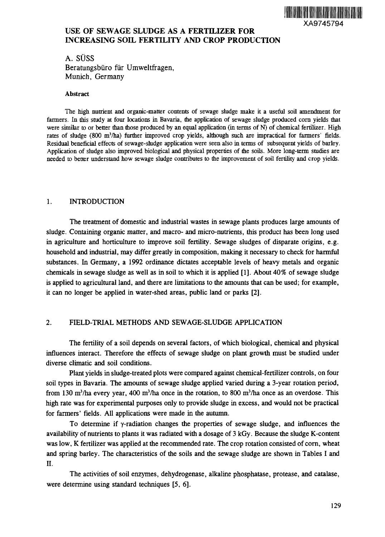

### **USE OF SEWAGE SLUDGE AS A FERTILIZER FOR INCREASING SOIL FERTILITY AND CROP PRODUCTION**

A. SÜSS Beratungsbüro für Umweltfragen, Munich, Germany

#### Abstract

The high nutrient and organic-matter contents of sewage sludge make it a useful soil amendment for farmers. In this study at four locations in Bavaria, the application of sewage sludge produced corn yields that were similar to or better than those produced by an equal application (in terms of  $N$ ) of chemical fertilizer. High rates of sludge (800 m<sup>3</sup>/ha) further improved crop yields, although such are impractical for farmers' fields. Residual beneficial effects of sewage-sludge application were seen also in terms of subsequent yields of barley. Application of sludge also improved biological and physical properties of the soils. More long-term studies are needed to better understand how sewage sludge contributes to the improvement of soil fertility and crop yields.

### 1. INTRODUCTION

The treatment of domestic and industrial wastes in sewage plants produces large amounts of sludge. Containing organic matter, and macro- and micro-nutrients, this product has been long used in agriculture and horticulture to improve soil fertility. Sewage sludges of disparate origins, e.g. household and industrial, may differ greatly in composition, making it necessary to check for harmful substances. In Germany, a 1992 ordinance dictates acceptable levels of heavy metals and organic chemicals in sewage sludge as well as in soil to which it is applied [1]. About 40% of sewage sludge is applied to agricultural land, and there are limitations to the amounts that can be used; for example, it can no longer be applied in water-shed areas, public land or parks [2].

### 2. FIELD-TRIAL METHODS AND SEWAGE-SLUDGE APPLICATION

The fertility of a soil depends on several factors, of which biological, chemical and physical influences interact. Therefore the effects of sewage sludge on plant growth must be studied under diverse climatic and soil conditions.

Plant yields in sludge-treated plots were compared against chemical-fertilizer controls, on four soil types in Bavaria. The amounts of sewage sludge applied varied during a 3-year rotation period, from 130 m<sup>3</sup>/ha every year, 400 m<sup>3</sup>/ha once in the rotation, to 800 m<sup>3</sup>/ha once as an overdose. This high rate was for experimental purposes only to provide sludge in excess, and would not be practical for farmers' fields. All applications were made in the autumn.

To determine if y-radiation changes the properties of sewage sludge, and influences the availability of nutrients to plants it was radiated with a dosage of 3 kGy. Because the sludge K-content was low, K fertilizer was applied at the recommended rate. The crop rotation consisted of corn, wheat and spring barley. The characteristics of the soils and the sewage sludge are shown in Tables I and II.

The activities of soil enzymes, dehydrogenase, alkaline phosphatase, protease, and catalase, were determine using standard techniques [5, 6].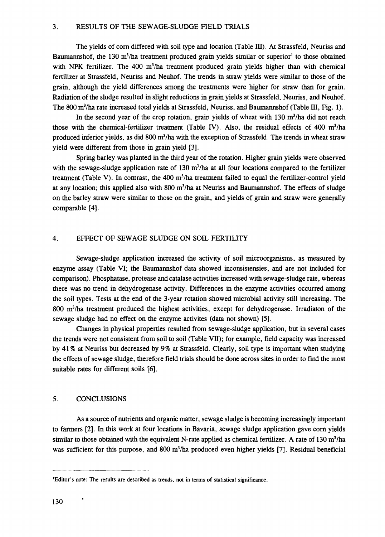The yields of corn differed with soil type and location (Table III). At Strassfeld, Neuriss and Baumannshof, the 130 m<sup>3</sup>/ha treatment produced grain yields similar or superior<sup>1</sup> to those obtained with NPK fertilizer. The 400 m<sup>3</sup>/ha treatment produced grain yields higher than with chemical fertilizer at Strassfeld, Neuriss and Neuhof. The trends in straw yields were similar to those of the grain, although the yield differences among the treatments were higher for straw than for grain. Radiation of the sludge resulted in slight reductions in grain yields at Strassfeld, Neuriss, and Neuhof. The 800 m<sup>3</sup>/ha rate increased total yields at Strassfeld, Neuriss, and Baumannshof (Table III, Fig. 1).

In the second year of the crop rotation, grain yields of wheat with 130 m<sup>3</sup>/ha did not reach those with the chemical-fertilizer treatment (Table IV). Also, the residual effects of 400 m<sup>3</sup>/ha produced inferior yields, as did 800 m<sup>3</sup>/ha with the exception of Strassfeld. The trends in wheat straw yield were different from those in grain yield [3].

Spring barley was planted in the third year of the rotation. Higher grain yields were observed with the sewage-sludge application rate of 130 m<sup>3</sup>/ha at all four locations compared to the fertilizer treatment (Table V). In contrast, the  $400 \text{ m}^3/\text{ha}$  treatment failed to equal the fertilizer-control yield at any location; this applied also with 800 m<sup>3</sup>/ha at Neuriss and Baumannshof. The effects of sludge on the barley straw were similar to those on the grain, and yields of grain and straw were generally comparable [4].

#### 4. EFFECT OF SEWAGE SLUDGE ON SOIL FERTILITY

Sewage-sludge application increased the activity of soil microorganisms, as measured by enzyme assay (Table VI; the Baumannshof data showed inconsistensies, and are not included for comparison). Phosphatase, protease and catalase activities increased with sewage-sludge rate, whereas there was no trend in dehydrogenase activity. Differences in the enzyme activities occurred among the soil types. Tests at the end of the 3-year rotation showed microbial activity still increasing. The 800 m<sup>3</sup>/ha treatment produced the highest activities, except for dehydrogenase. Irradiaton of the sewage sludge had no effect on the enzyme activites (data not shown) [5].

Changes in physical properties resulted from sewage-sludge application, but in several cases the trends were not consistent from soil to soil (Table VII); for example, field capacity was increased by 41 % at Neuriss but decreased by 9% at Strassfeld. Clearly, soil type is important when studying the effects of sewage sludge, therefore field trials should be done across sites in order to find the most suitable rates for different soils [6].

#### 5. CONCLUSIONS

As a source of nutrients and organic matter, sewage sludge is becoming increasingly important to farmers [2]. In this work at four locations in Bavaria, sewage sludge application gave corn yields similar to those obtained with the equivalent N-rate applied as chemical fertilizer. A rate of 130 m<sup>3</sup>/ha was sufficient for this purpose, and 800 m<sup>3</sup>/ha produced even higher yields [7]. Residual beneficial

<sup>&#</sup>x27;Editor's note: The results are described as trends, not in terms of statistical significance.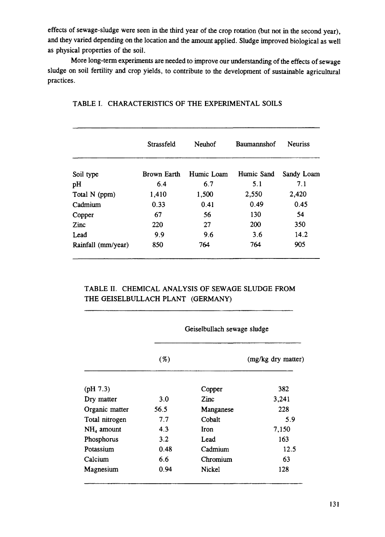effects of sewage-sludge were seen in the third year of the crop rotation (but not in the second year), and they varied depending on the location and the amount applied. Sludge improved biological as well as physical properties of the soil.

More long-term experiments are needed to improve our understanding of the effects of sewage sludge on soil fertility and crop yields, to contribute to the development of sustainable agricultural practices.

|                    | Strassfeld  | <b>Neuhof</b> | Baumannshof | <b>Neuriss</b> |
|--------------------|-------------|---------------|-------------|----------------|
| Soil type          | Brown Earth | Humic Loam    | Humic Sand  | Sandy Loam     |
| pH                 | 6.4         | 6.7           | 5.1         | 7.1            |
| Total N (ppm)      | 1,410       | 1,500         | 2,550       | 2,420          |
| Cadmium            | 0.33        | 0.41          | 0.49        | 0.45           |
| Copper             | 67          | 56            | 130         | 54             |
| Zinc               | 220         | 27            | 200         | 350            |
| Lead               | 9.9         | 9.6           | 3.6         | 14.2           |
| Rainfall (mm/year) | 850         | 764           | 764         | 905            |

TABLE I. CHARACTERISTICS OF THE EXPERIMENTAL SOILS

### TABLE II. CHEMICAL ANALYSIS OF SEWAGE SLUDGE FROM THE GEISELBULLACH PLANT (GERMANY)

|                | Geiselbullach sewage sludge |           |                    |  |
|----------------|-----------------------------|-----------|--------------------|--|
|                | ( %)                        |           | (mg/kg dry matter) |  |
| (pH 7.3)       |                             | Copper    | 382                |  |
| Dry matter     | 3.0                         | Zinc      | 3,241              |  |
| Organic matter | 56.5                        | Manganese | 228                |  |
| Total nitrogen | 7.7                         | Cobalt    | 5.9                |  |
| $NH4$ amount   | 4.3                         | Iron      | 7,150              |  |
| Phosphorus     | 3.2                         | Lead      | 163                |  |
| Potassium      | 0.48                        | Cadmium   | 12.5               |  |
| Calcium        | 6.6                         | Chromium  | 63                 |  |
| Magnesium      | 0.94                        | Nickel    | 128                |  |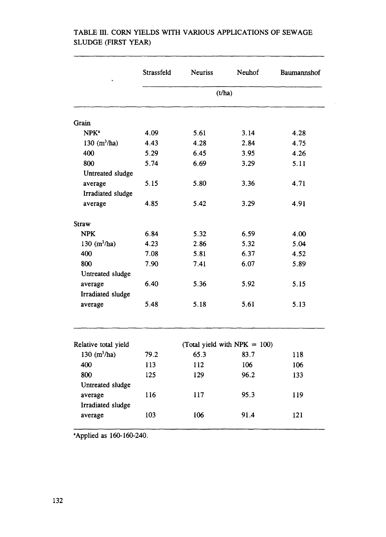# TABLE m. CORN YIELDS WITH VARIOUS APPLICATIONS OF SEWAGE SLUDGE (FIRST YEAR)

|                      | Strassfeld | <b>Neuriss</b> | Neuhof                          | Baumannshof |  |  |
|----------------------|------------|----------------|---------------------------------|-------------|--|--|
|                      | (t/ha)     |                |                                 |             |  |  |
| Grain                |            |                |                                 |             |  |  |
| NPK <sup>a</sup>     | 4.09       | 5.61           | 3.14                            | 4.28        |  |  |
| $130 \ (m^3/ha)$     | 4.43       | 4.28           | 2.84                            | 4.75        |  |  |
| 400                  | 5.29       | 6.45           | 3.95                            | 4.26        |  |  |
| 800                  | 5.74       | 6.69           | 3.29                            | 5.11        |  |  |
| Untreated sludge     |            |                |                                 |             |  |  |
| average              | 5.15       | 5.80           | 3.36                            | 4.71        |  |  |
| Irradiated sludge    |            |                |                                 |             |  |  |
| average              | 4.85       | 5.42           | 3.29                            | 4.91        |  |  |
| <b>Straw</b>         |            |                |                                 |             |  |  |
| <b>NPK</b>           | 6.84       | 5.32           | 6.59                            | 4.00        |  |  |
| 130 $(m^3/ha)$       | 4.23       | 2.86           | 5.32                            | 5.04        |  |  |
| 400                  | 7.08       | 5.81           | 6.37                            | 4.52        |  |  |
| 800                  | 7.90       | 7.41           | 6.07                            | 5.89        |  |  |
| Untreated sludge     |            |                |                                 |             |  |  |
| average              | 6.40       | 5.36           | 5.92                            | 5.15        |  |  |
| Irradiated sludge    |            |                |                                 |             |  |  |
| average              | 5.48       | 5.18           | 5.61                            | 5.13        |  |  |
|                      |            |                |                                 |             |  |  |
| Relative total yield |            |                | (Total yield with NPK $= 100$ ) |             |  |  |
| 130 $(m^3/ha)$       | 79.2       | 65.3           | 83.7                            | 118         |  |  |
| 400                  | 113        | 112            | 106                             | 106         |  |  |
| 800                  | 125        | 129            | 96.2                            | 133         |  |  |
| Untreated sludge     |            |                |                                 |             |  |  |
| average              | 116        | 117            | 95.3                            | 119         |  |  |
| Irradiated sludge    |            |                |                                 |             |  |  |
| average              | 103        | 106            | 91.4                            | 121         |  |  |

'Applied as 160-160-240.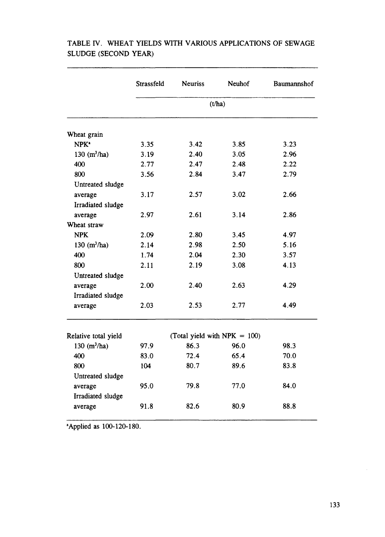|                          | Strassfeld                      | <b>Neuriss</b> | Neuhof | Baumannshof |  |  |
|--------------------------|---------------------------------|----------------|--------|-------------|--|--|
|                          | (t/ha)                          |                |        |             |  |  |
| Wheat grain              |                                 |                |        |             |  |  |
| NPK <sup>a</sup>         | 3.35                            | 3.42           | 3.85   | 3.23        |  |  |
| 130 $(m^3/ha)$           | 3.19                            | 2.40           | 3.05   | 2.96        |  |  |
| 400                      | 2.77                            | 2.47           | 2.48   | 2.22        |  |  |
| 800                      | 3.56                            | 2.84           | 3.47   | 2.79        |  |  |
| Untreated sludge         |                                 |                |        |             |  |  |
| average                  | 3.17                            | 2.57           | 3.02   | 2.66        |  |  |
| Irradiated sludge        |                                 |                |        |             |  |  |
| average                  | 2.97                            | 2.61           | 3.14   | 2.86        |  |  |
| Wheat straw              |                                 |                |        |             |  |  |
| <b>NPK</b>               | 2.09                            | 2.80           | 3.45   | 4.97        |  |  |
| 130 $(m^3/ha)$           | 2.14                            | 2.98           | 2.50   | 5.16        |  |  |
| 400                      | 1.74                            | 2.04           | 2.30   | 3.57        |  |  |
| 800                      | 2.11                            | 2.19           | 3.08   | 4.13        |  |  |
| Untreated sludge         |                                 |                |        |             |  |  |
| average                  | 2.00                            | 2.40           | 2.63   | 4.29        |  |  |
| Irradiated sludge        |                                 |                |        |             |  |  |
| average                  | 2.03                            | 2.53           | 2.77   | 4.49        |  |  |
| Relative total yield     | (Total yield with NPK $= 100$ ) |                |        |             |  |  |
| 130 $(m^3/ha)$           | 97.9                            | 86.3           | 96.0   | 98.3        |  |  |
| 400                      | 83.0                            | 72.4           | 65.4   | 70.0        |  |  |
| 800                      | 104                             | 80.7           | 89.6   | 83.8        |  |  |
| Untreated sludge         |                                 |                |        |             |  |  |
| average                  | 95.0                            | 79.8           | 77.0   | 84.0        |  |  |
| <b>Irradiated sludge</b> |                                 |                |        |             |  |  |
| average                  | 91.8                            | 82.6           | 80.9   | 88.8        |  |  |

# TABLE IV. WHEAT YIELDS WITH VARIOUS APPLICATIONS OF SEWAGE SLUDGE (SECOND YEAR)

<sup>a</sup>Applied as 100-120-180.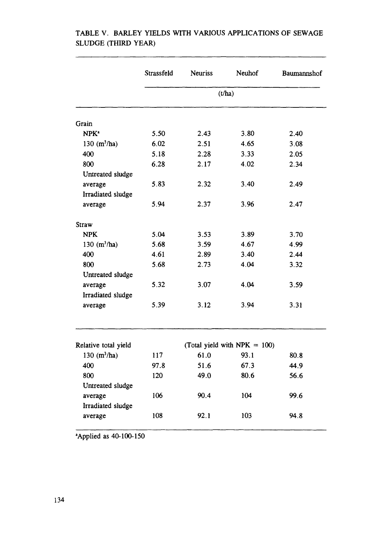|                      | Strassfeld | <b>Neuriss</b> | Neuhof                          | Baumannshof |  |  |
|----------------------|------------|----------------|---------------------------------|-------------|--|--|
|                      | (t/ha)     |                |                                 |             |  |  |
| Grain                |            |                |                                 |             |  |  |
| NPK <sup>a</sup>     | 5.50       | 2.43           | 3.80                            | 2.40        |  |  |
| 130 $(m^3/ha)$       | 6.02       | 2.51           | 4.65                            | 3.08        |  |  |
| 400                  | 5.18       | 2.28           | 3.33                            | 2.05        |  |  |
| 800                  | 6.28       | 2.17           | 4.02                            | 2.34        |  |  |
| Untreated sludge     |            |                |                                 |             |  |  |
| average              | 5.83       | 2.32           | 3.40                            | 2.49        |  |  |
| Irradiated sludge    |            |                |                                 |             |  |  |
| average              | 5.94       | 2.37           | 3.96                            | 2.47        |  |  |
| <b>Straw</b>         |            |                |                                 |             |  |  |
| <b>NPK</b>           | 5.04       | 3.53           | 3.89                            | 3.70        |  |  |
| 130 $(m^3/ha)$       | 5.68       | 3.59           | 4.67                            | 4.99        |  |  |
| 400                  | 4.61       | 2.89           | 3.40                            | 2.44        |  |  |
| 800                  | 5.68       | 2.73           | 4.04                            | 3.32        |  |  |
| Untreated sludge     |            |                |                                 |             |  |  |
| average              | 5.32       | 3.07           | 4.04                            | 3.59        |  |  |
| Irradiated sludge    |            |                |                                 |             |  |  |
| average              | 5.39       | 3.12           | 3.94                            | 3.31        |  |  |
|                      |            |                |                                 |             |  |  |
| Relative total yield |            |                | (Total yield with NPK = $100$ ) |             |  |  |
| 130 $(m^3/ha)$       | 117        | 61.0           | 93.1                            | 80.8        |  |  |
| 400                  | 97.8       | 51.6           | 67.3                            | 44.9        |  |  |
| 800                  | 120        | 49.0           | 80.6                            | 56.6        |  |  |
| Untreated sludge     |            |                |                                 |             |  |  |
| average              | 106        | 90.4           | 104                             | 99.6        |  |  |
| Irradiated sludge    |            |                |                                 |             |  |  |
| average              | 108        | 92.1           | 103                             | 94.8        |  |  |

# TABLE V. BARLEY YIELDS WITH VARIOUS APPLICATIONS OF SEWAGE SLUDGE (THIRD YEAR)

"Applied as 40-100-150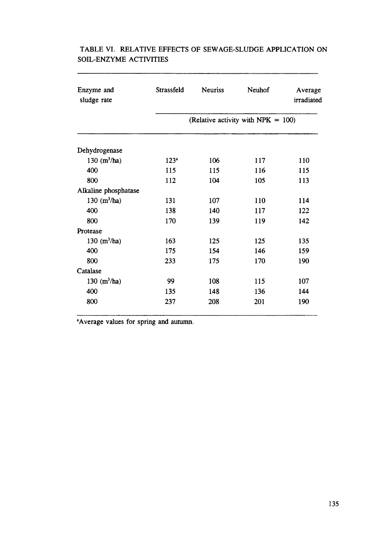| Enzyme and<br>sludge rate | Strassfeld                            | <b>Neuriss</b> | <b>Neuhof</b> | Average<br>irradiated |  |  |
|---------------------------|---------------------------------------|----------------|---------------|-----------------------|--|--|
|                           | (Relative activity with NPK = $100$ ) |                |               |                       |  |  |
| Dehydrogenase             |                                       |                |               |                       |  |  |
| 130 $(m^3/ha)$            | 123 <sup>2</sup>                      | 106            | 117           | 110                   |  |  |
| 400                       | 115                                   | 115            | 116           | 115                   |  |  |
| 800                       | 112                                   | 104            | 105           | 113                   |  |  |
| Alkaline phosphatase      |                                       |                |               |                       |  |  |
| 130 $(m^3/ha)$            | 131                                   | 107            | 110           | 114                   |  |  |
| 400                       | 138                                   | 140            | 117           | 122                   |  |  |
| 800                       | 170                                   | 139            | 119           | 142                   |  |  |
| Protease                  |                                       |                |               |                       |  |  |
| 130 $(m^3/ha)$            | 163                                   | 125            | 125           | 135                   |  |  |
| 400                       | 175                                   | 154            | 146           | 159                   |  |  |
| 800                       | 233                                   | 175            | 170           | 190                   |  |  |
| Catalase                  |                                       |                |               |                       |  |  |
| 130 $(m^3/ha)$            | 99                                    | 108            | 115           | 107                   |  |  |
| 400                       | 135                                   | 148            | 136           | 144                   |  |  |
| 800                       | 237                                   | 208            | 201           | 190                   |  |  |
|                           |                                       |                |               |                       |  |  |

## TABLE VI. RELATIVE EFFECTS OF SEWAGE-SLUDGE APPLICATION ON SOIL-ENZYME ACTIVITIES

'Average values for spring and autumn.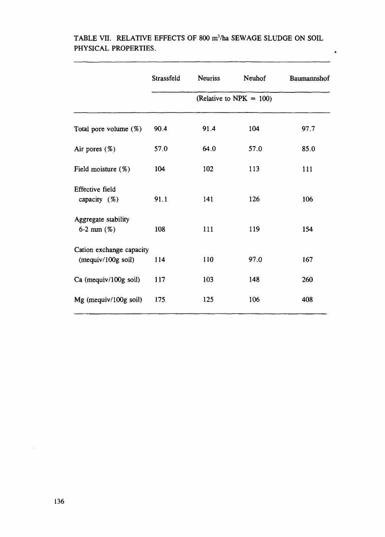|                                                | Strassfeld                 | <b>Neuriss</b> | Neuhof | Baumannshof |  |  |
|------------------------------------------------|----------------------------|----------------|--------|-------------|--|--|
|                                                | (Relative to NPK = $100$ ) |                |        |             |  |  |
| Total pore volume (%)                          | 90.4                       | 91.4           | 104    | 97.7        |  |  |
| Air pores $(\%)$                               | 57.0                       | 64.0           | 57.0   | 85.0        |  |  |
| Field moisture (%)                             | 104                        | 102            | 113    | 111         |  |  |
| <b>Effective field</b><br>capacity $(%)$       | 91.1                       | 141            | 126    | 106         |  |  |
| Aggregate stability<br>6-2 mm $(\%)$           | 108                        | 111            | 119    | 154         |  |  |
| Cation exchange capacity<br>(mequiv/100g soil) | 114                        | 110            | 97.0   | 167         |  |  |
| Ca (mequiv/100g soil)                          | 117                        | 103            | 148    | 260         |  |  |
| Mg (mequiv/100g soil)                          | 175                        | 125            | 106    | 408         |  |  |

## TABLE VII. RELATIVE EFFECTS OF 800 m<sup>3</sup>/ha SEWAGE SLUDGE ON SOIL PHYSICAL PROPERTIES.

 $\ddot{\bullet}$